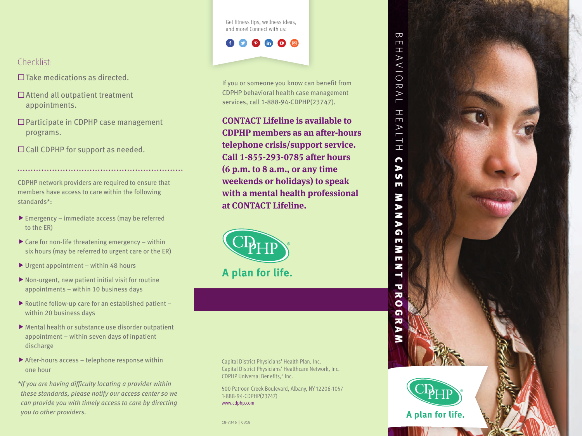Get fitness tips, wellness ideas, and more! Connect with us:

 $P$  in  $Q$   $Q$ 

If you or someone you know can benefit from CDPHP behavioral health case management services, call 1-888-94-CDPHP(23747).

**CONTACT Lifeline is available to CDPHP members as an after-hours telephone crisis/support service. Call 1-855-293-0785 after hours (6 p.m. to 8 a.m., or any time weekends or holidays) to speak with a mental health professional at CONTACT Lifeline.**

A plan for life.

#### Capital District Physicians' Health Plan, Inc. Capital District Physicians' Healthcare Network, Inc. CDPHP Universal Benefits, ® Inc.

500 Patroon Creek Boulevard, Albany, NY 12206-1057 1-888-94-CDPHP(23747) www.cdphp.com

18-7346 | 0318

# Checklist:

- $\Box$  Take medications as directed.
- Attend all outpatient treatment appointments.
- □ Participate in CDPHP case management programs.
- □ Call CDPHP for support as needed.

CDPHP network providers are required to ensure that members have access to care within the following standards\*:

- $\blacktriangleright$  Emergency immediate access (may be referred to the ER)
- $\triangleright$  Care for non-life threatening emergency within six hours (may be referred to urgent care or the ER)
- $\blacktriangleright$  Urgent appointment within 48 hours
- $\blacktriangleright$  Non-urgent, new patient initial visit for routine appointments – within 10 business days
- $\blacktriangleright$  Routine follow-up care for an established patient within 20 business days
- $\blacktriangleright$  Mental health or substance use disorder outpatient appointment – within seven days of inpatient discharge
- $\blacktriangleright$  After-hours access telephone response within one hour
- *\*If you are having difficulty locating a provider within these standards, please notify our access center so we can provide you with timely access to care by directing you to other providers.*



A plan for life.